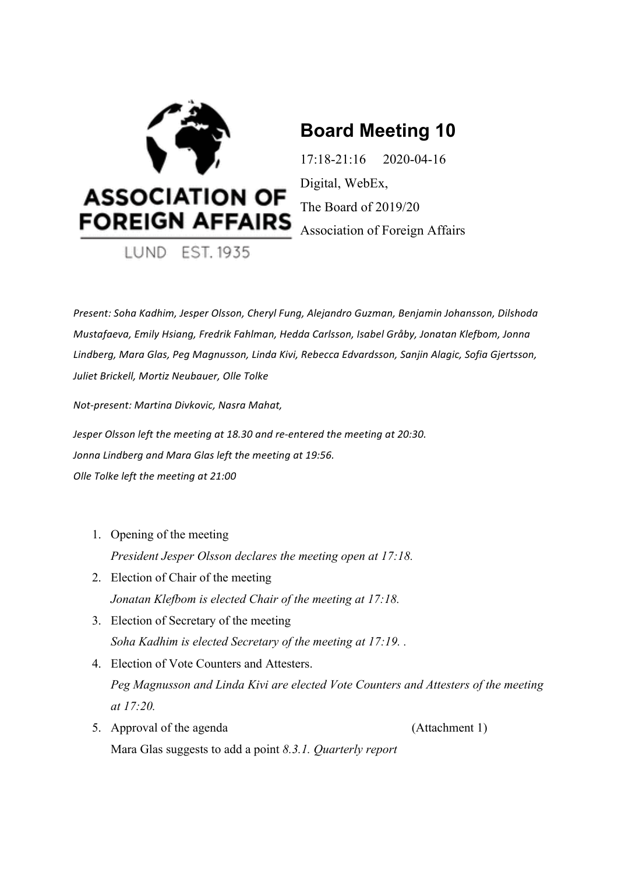

# **Board Meeting 10**

17:18-21:16 2020-04-16 Digital, WebEx, The Board of 2019/20

*Present:* Soha Kadhim, Jesper Olsson, Cheryl Fung, Alejandro Guzman, Benjamin Johansson, Dilshoda *Mustafaeva, Emily Hsiang, Fredrik Fahlman, Hedda Carlsson, Isabel Gråby, Jonatan Klefbom, Jonna* Lindberg, Mara Glas, Peg Magnusson, Linda Kivi, Rebecca Edvardsson, Sanjin Alagic, Sofia Gjertsson, Juliet Brickell, Mortiz Neubauer, Olle Tolke

*Not-present: Martina Divkovic, Nasra Mahat,* 

*Jesper Olsson left the meeting at 18.30 and re-entered the meeting at 20:30.* Jonna Lindberg and Mara Glas left the meeting at 19:56. *Olle Tolke left the meeting at 21:00*

- 1. Opening of the meeting *President Jesper Olsson declares the meeting open at 17:18.*
- 2. Election of Chair of the meeting *Jonatan Klefbom is elected Chair of the meeting at 17:18.*
- 3. Election of Secretary of the meeting *Soha Kadhim is elected Secretary of the meeting at 17:19. .*
- 4. Election of Vote Counters and Attesters. *Peg Magnusson and Linda Kivi are elected Vote Counters and Attesters of the meeting at 17:20.*
- 5. Approval of the agenda (Attachment 1) Mara Glas suggests to add a point *8.3.1. Quarterly report*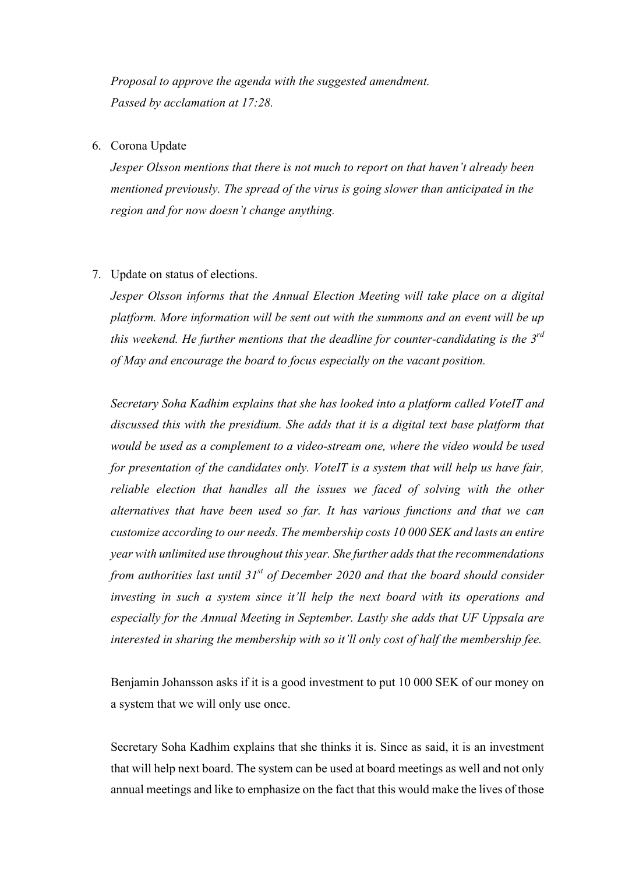*Proposal to approve the agenda with the suggested amendment. Passed by acclamation at 17:28.*

#### 6. Corona Update

*Jesper Olsson mentions that there is not much to report on that haven't already been mentioned previously. The spread of the virus is going slower than anticipated in the region and for now doesn't change anything.* 

#### 7. Update on status of elections.

*Jesper Olsson informs that the Annual Election Meeting will take place on a digital platform. More information will be sent out with the summons and an event will be up this weekend. He further mentions that the deadline for counter-candidating is the 3rd of May and encourage the board to focus especially on the vacant position.* 

*Secretary Soha Kadhim explains that she has looked into a platform called VoteIT and discussed this with the presidium. She adds that it is a digital text base platform that would be used as a complement to a video-stream one, where the video would be used for presentation of the candidates only. VoteIT is a system that will help us have fair, reliable election that handles all the issues we faced of solving with the other alternatives that have been used so far. It has various functions and that we can customize according to our needs. The membership costs 10 000 SEK and lasts an entire year with unlimited use throughout this year. She further adds that the recommendations from authorities last until 31st of December 2020 and that the board should consider investing in such a system since it'll help the next board with its operations and especially for the Annual Meeting in September. Lastly she adds that UF Uppsala are interested in sharing the membership with so it'll only cost of half the membership fee.* 

Benjamin Johansson asks if it is a good investment to put 10 000 SEK of our money on a system that we will only use once.

Secretary Soha Kadhim explains that she thinks it is. Since as said, it is an investment that will help next board. The system can be used at board meetings as well and not only annual meetings and like to emphasize on the fact that this would make the lives of those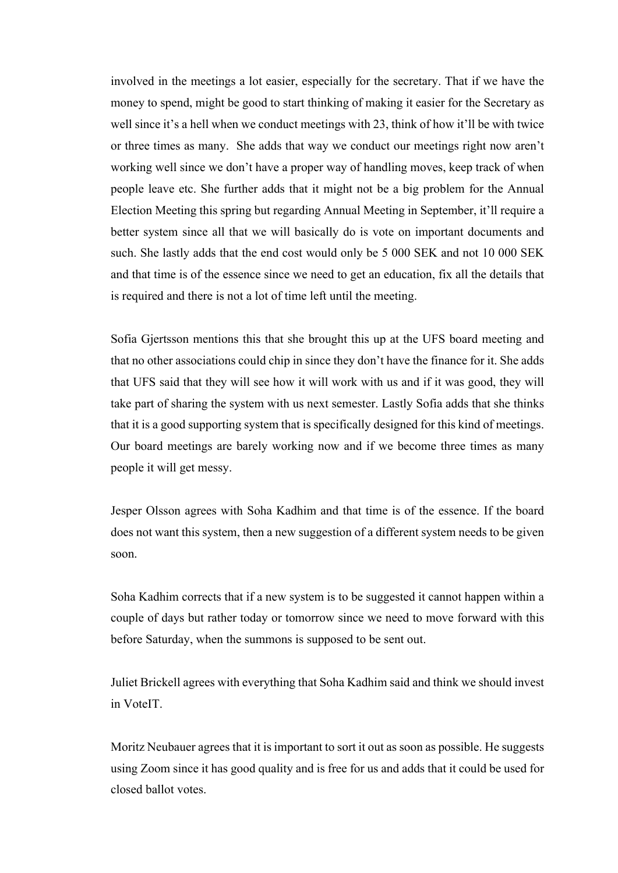involved in the meetings a lot easier, especially for the secretary. That if we have the money to spend, might be good to start thinking of making it easier for the Secretary as well since it's a hell when we conduct meetings with 23, think of how it'll be with twice or three times as many. She adds that way we conduct our meetings right now aren't working well since we don't have a proper way of handling moves, keep track of when people leave etc. She further adds that it might not be a big problem for the Annual Election Meeting this spring but regarding Annual Meeting in September, it'll require a better system since all that we will basically do is vote on important documents and such. She lastly adds that the end cost would only be 5 000 SEK and not 10 000 SEK and that time is of the essence since we need to get an education, fix all the details that is required and there is not a lot of time left until the meeting.

Sofia Gjertsson mentions this that she brought this up at the UFS board meeting and that no other associations could chip in since they don't have the finance for it. She adds that UFS said that they will see how it will work with us and if it was good, they will take part of sharing the system with us next semester. Lastly Sofia adds that she thinks that it is a good supporting system that is specifically designed for this kind of meetings. Our board meetings are barely working now and if we become three times as many people it will get messy.

Jesper Olsson agrees with Soha Kadhim and that time is of the essence. If the board does not want this system, then a new suggestion of a different system needs to be given soon.

Soha Kadhim corrects that if a new system is to be suggested it cannot happen within a couple of days but rather today or tomorrow since we need to move forward with this before Saturday, when the summons is supposed to be sent out.

Juliet Brickell agrees with everything that Soha Kadhim said and think we should invest in VoteIT.

Moritz Neubauer agrees that it is important to sort it out as soon as possible. He suggests using Zoom since it has good quality and is free for us and adds that it could be used for closed ballot votes.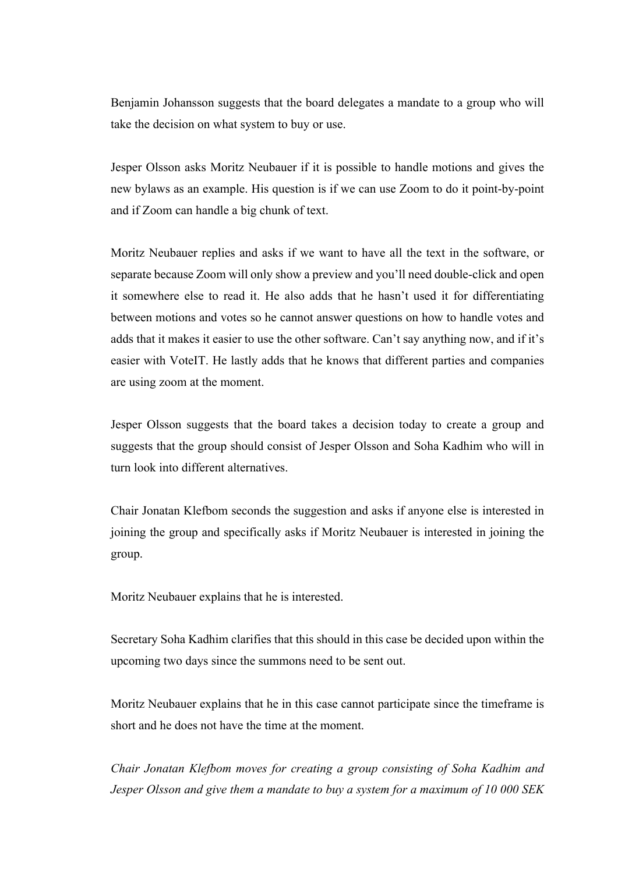Benjamin Johansson suggests that the board delegates a mandate to a group who will take the decision on what system to buy or use.

Jesper Olsson asks Moritz Neubauer if it is possible to handle motions and gives the new bylaws as an example. His question is if we can use Zoom to do it point-by-point and if Zoom can handle a big chunk of text.

Moritz Neubauer replies and asks if we want to have all the text in the software, or separate because Zoom will only show a preview and you'll need double-click and open it somewhere else to read it. He also adds that he hasn't used it for differentiating between motions and votes so he cannot answer questions on how to handle votes and adds that it makes it easier to use the other software. Can't say anything now, and if it's easier with VoteIT. He lastly adds that he knows that different parties and companies are using zoom at the moment.

Jesper Olsson suggests that the board takes a decision today to create a group and suggests that the group should consist of Jesper Olsson and Soha Kadhim who will in turn look into different alternatives.

Chair Jonatan Klefbom seconds the suggestion and asks if anyone else is interested in joining the group and specifically asks if Moritz Neubauer is interested in joining the group.

Moritz Neubauer explains that he is interested.

Secretary Soha Kadhim clarifies that this should in this case be decided upon within the upcoming two days since the summons need to be sent out.

Moritz Neubauer explains that he in this case cannot participate since the timeframe is short and he does not have the time at the moment.

*Chair Jonatan Klefbom moves for creating a group consisting of Soha Kadhim and Jesper Olsson and give them a mandate to buy a system for a maximum of 10 000 SEK*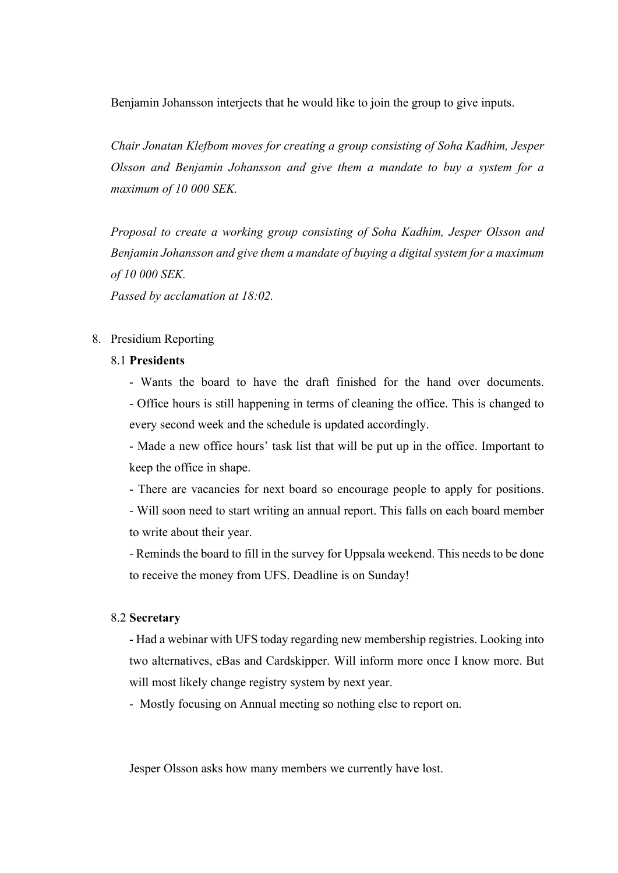Benjamin Johansson interjects that he would like to join the group to give inputs.

*Chair Jonatan Klefbom moves for creating a group consisting of Soha Kadhim, Jesper Olsson and Benjamin Johansson and give them a mandate to buy a system for a maximum of 10 000 SEK.*

*Proposal to create a working group consisting of Soha Kadhim, Jesper Olsson and Benjamin Johansson and give them a mandate of buying a digital system for a maximum of 10 000 SEK.* 

*Passed by acclamation at 18:02.* 

#### 8. Presidium Reporting

# 8.1 **Presidents**

- Wants the board to have the draft finished for the hand over documents. - Office hours is still happening in terms of cleaning the office. This is changed to every second week and the schedule is updated accordingly.

- Made a new office hours' task list that will be put up in the office. Important to keep the office in shape.

- There are vacancies for next board so encourage people to apply for positions.

- Will soon need to start writing an annual report. This falls on each board member to write about their year.

- Reminds the board to fill in the survey for Uppsala weekend. This needs to be done to receive the money from UFS. Deadline is on Sunday!

#### 8.2 **Secretary**

- Had a webinar with UFS today regarding new membership registries. Looking into two alternatives, eBas and Cardskipper. Will inform more once I know more. But will most likely change registry system by next year.

- Mostly focusing on Annual meeting so nothing else to report on.

Jesper Olsson asks how many members we currently have lost.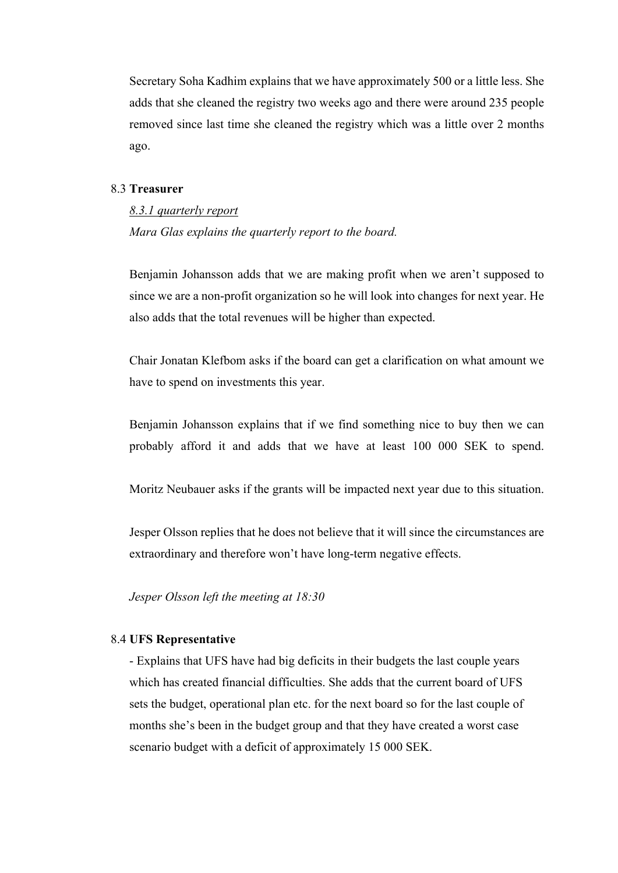Secretary Soha Kadhim explains that we have approximately 500 or a little less. She adds that she cleaned the registry two weeks ago and there were around 235 people removed since last time she cleaned the registry which was a little over 2 months ago.

#### 8.3 **Treasurer**

*8.3.1 quarterly report Mara Glas explains the quarterly report to the board.*

Benjamin Johansson adds that we are making profit when we aren't supposed to since we are a non-profit organization so he will look into changes for next year. He also adds that the total revenues will be higher than expected.

Chair Jonatan Klefbom asks if the board can get a clarification on what amount we have to spend on investments this year.

Benjamin Johansson explains that if we find something nice to buy then we can probably afford it and adds that we have at least 100 000 SEK to spend.

Moritz Neubauer asks if the grants will be impacted next year due to this situation.

Jesper Olsson replies that he does not believe that it will since the circumstances are extraordinary and therefore won't have long-term negative effects.

*Jesper Olsson left the meeting at 18:30*

### 8.4 **UFS Representative**

- Explains that UFS have had big deficits in their budgets the last couple years which has created financial difficulties. She adds that the current board of UFS sets the budget, operational plan etc. for the next board so for the last couple of months she's been in the budget group and that they have created a worst case scenario budget with a deficit of approximately 15 000 SEK.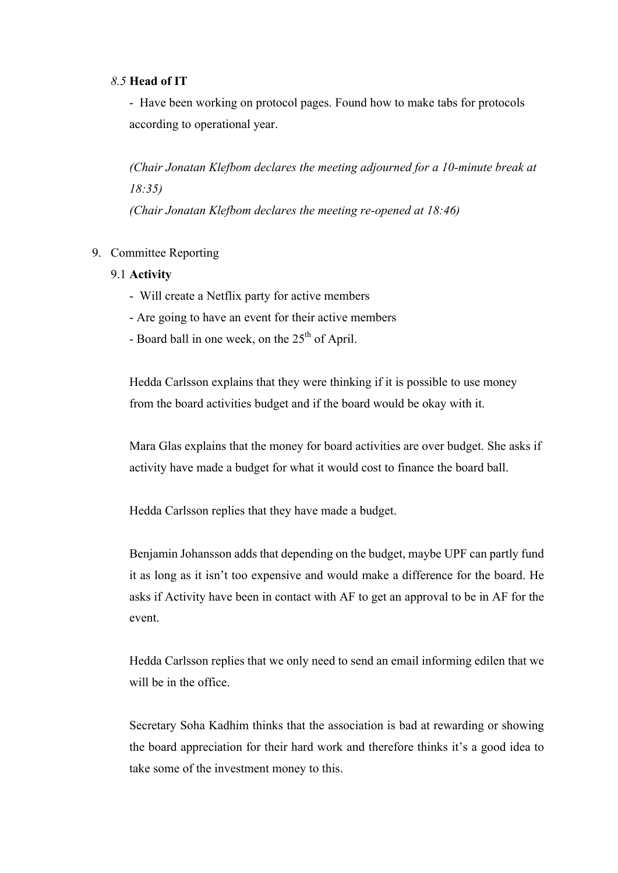#### *8.5* **Head of IT**

- Have been working on protocol pages. Found how to make tabs for protocols according to operational year.

*(Chair Jonatan Klefbom declares the meeting adjourned for a 10-minute break at 18:35) (Chair Jonatan Klefbom declares the meeting re-opened at 18:46)*

9. Committee Reporting

# 9.1 **Activity**

- Will create a Netflix party for active members
- Are going to have an event for their active members
- Board ball in one week, on the  $25<sup>th</sup>$  of April.

Hedda Carlsson explains that they were thinking if it is possible to use money from the board activities budget and if the board would be okay with it.

Mara Glas explains that the money for board activities are over budget. She asks if activity have made a budget for what it would cost to finance the board ball.

Hedda Carlsson replies that they have made a budget.

Benjamin Johansson adds that depending on the budget, maybe UPF can partly fund it as long as it isn't too expensive and would make a difference for the board. He asks if Activity have been in contact with AF to get an approval to be in AF for the event.

Hedda Carlsson replies that we only need to send an email informing edilen that we will be in the office.

Secretary Soha Kadhim thinks that the association is bad at rewarding or showing the board appreciation for their hard work and therefore thinks it's a good idea to take some of the investment money to this.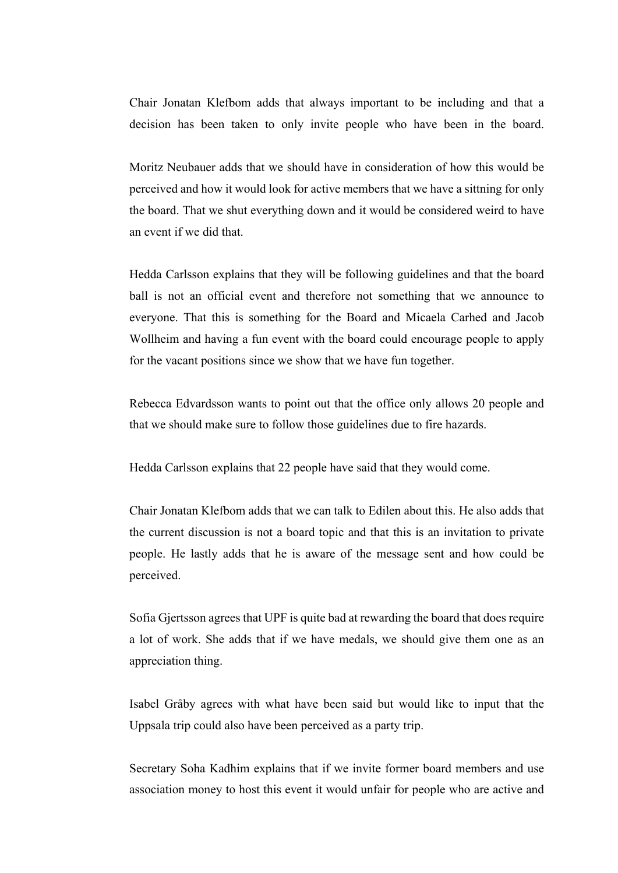Chair Jonatan Klefbom adds that always important to be including and that a decision has been taken to only invite people who have been in the board.

Moritz Neubauer adds that we should have in consideration of how this would be perceived and how it would look for active members that we have a sittning for only the board. That we shut everything down and it would be considered weird to have an event if we did that.

Hedda Carlsson explains that they will be following guidelines and that the board ball is not an official event and therefore not something that we announce to everyone. That this is something for the Board and Micaela Carhed and Jacob Wollheim and having a fun event with the board could encourage people to apply for the vacant positions since we show that we have fun together.

Rebecca Edvardsson wants to point out that the office only allows 20 people and that we should make sure to follow those guidelines due to fire hazards.

Hedda Carlsson explains that 22 people have said that they would come.

Chair Jonatan Klefbom adds that we can talk to Edilen about this. He also adds that the current discussion is not a board topic and that this is an invitation to private people. He lastly adds that he is aware of the message sent and how could be perceived.

Sofia Gjertsson agrees that UPF is quite bad at rewarding the board that does require a lot of work. She adds that if we have medals, we should give them one as an appreciation thing.

Isabel Gråby agrees with what have been said but would like to input that the Uppsala trip could also have been perceived as a party trip.

Secretary Soha Kadhim explains that if we invite former board members and use association money to host this event it would unfair for people who are active and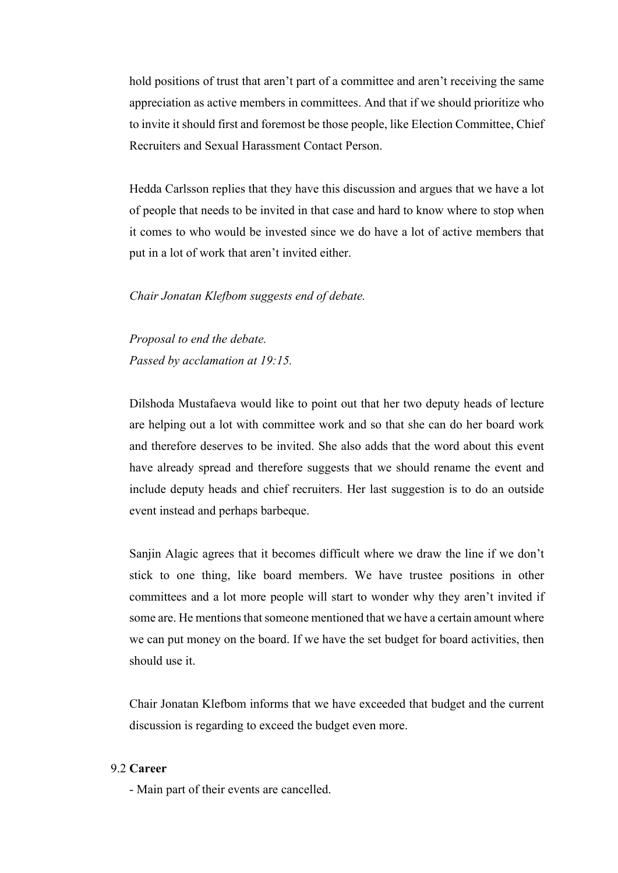hold positions of trust that aren't part of a committee and aren't receiving the same appreciation as active members in committees. And that if we should prioritize who to invite it should first and foremost be those people, like Election Committee, Chief Recruiters and Sexual Harassment Contact Person.

Hedda Carlsson replies that they have this discussion and argues that we have a lot of people that needs to be invited in that case and hard to know where to stop when it comes to who would be invested since we do have a lot of active members that put in a lot of work that aren't invited either.

#### *Chair Jonatan Klefbom suggests end of debate.*

*Proposal to end the debate. Passed by acclamation at 19:15.*

Dilshoda Mustafaeva would like to point out that her two deputy heads of lecture are helping out a lot with committee work and so that she can do her board work and therefore deserves to be invited. She also adds that the word about this event have already spread and therefore suggests that we should rename the event and include deputy heads and chief recruiters. Her last suggestion is to do an outside event instead and perhaps barbeque.

Sanjin Alagic agrees that it becomes difficult where we draw the line if we don't stick to one thing, like board members. We have trustee positions in other committees and a lot more people will start to wonder why they aren't invited if some are. He mentions that someone mentioned that we have a certain amount where we can put money on the board. If we have the set budget for board activities, then should use it.

Chair Jonatan Klefbom informs that we have exceeded that budget and the current discussion is regarding to exceed the budget even more.

# 9.2 **Career**

- Main part of their events are cancelled.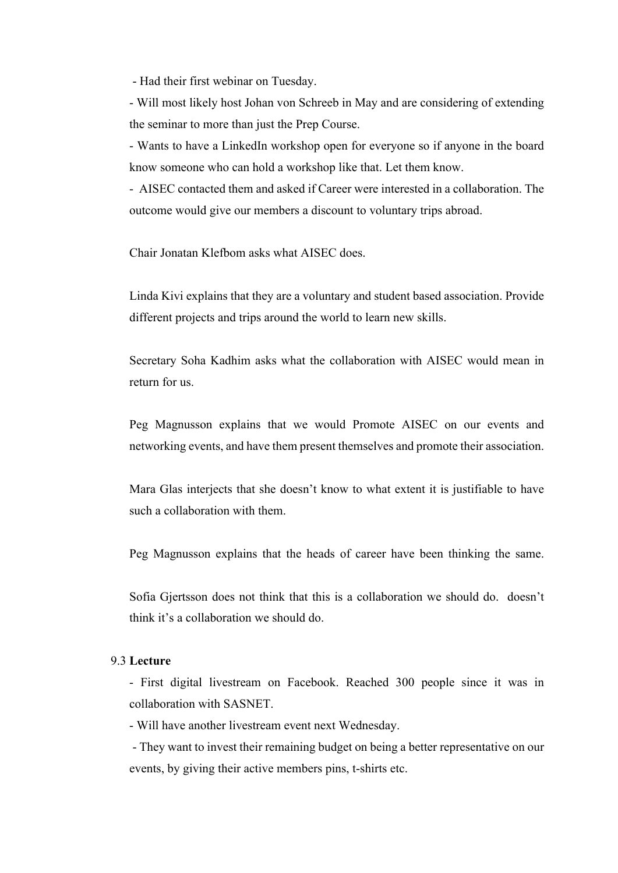- Had their first webinar on Tuesday.

- Will most likely host Johan von Schreeb in May and are considering of extending the seminar to more than just the Prep Course.

- Wants to have a LinkedIn workshop open for everyone so if anyone in the board know someone who can hold a workshop like that. Let them know.

- AISEC contacted them and asked if Career were interested in a collaboration. The outcome would give our members a discount to voluntary trips abroad.

Chair Jonatan Klefbom asks what AISEC does.

Linda Kivi explains that they are a voluntary and student based association. Provide different projects and trips around the world to learn new skills.

Secretary Soha Kadhim asks what the collaboration with AISEC would mean in return for us.

Peg Magnusson explains that we would Promote AISEC on our events and networking events, and have them present themselves and promote their association.

Mara Glas interjects that she doesn't know to what extent it is justifiable to have such a collaboration with them.

Peg Magnusson explains that the heads of career have been thinking the same.

Sofia Gjertsson does not think that this is a collaboration we should do. doesn't think it's a collaboration we should do.

#### 9.3 **Lecture**

- First digital livestream on Facebook. Reached 300 people since it was in collaboration with SASNET.

- Will have another livestream event next Wednesday.

- They want to invest their remaining budget on being a better representative on our events, by giving their active members pins, t-shirts etc.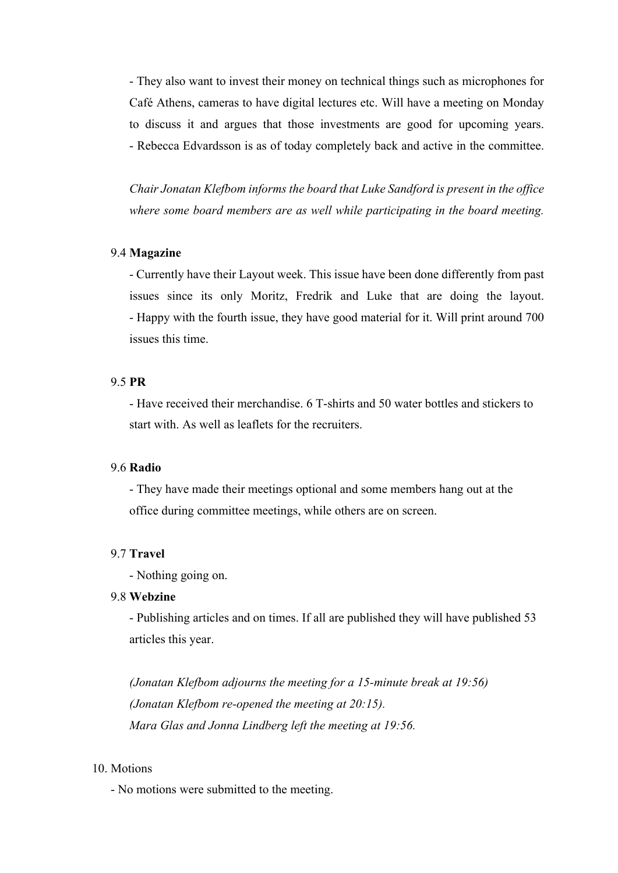- They also want to invest their money on technical things such as microphones for Café Athens, cameras to have digital lectures etc. Will have a meeting on Monday to discuss it and argues that those investments are good for upcoming years. - Rebecca Edvardsson is as of today completely back and active in the committee.

*Chair Jonatan Klefbom informs the board that Luke Sandford is present in the office where some board members are as well while participating in the board meeting.*

#### 9.4 **Magazine**

- Currently have their Layout week. This issue have been done differently from past issues since its only Moritz, Fredrik and Luke that are doing the layout. - Happy with the fourth issue, they have good material for it. Will print around 700 issues this time.

# 9.5 **PR**

- Have received their merchandise. 6 T-shirts and 50 water bottles and stickers to start with. As well as leaflets for the recruiters.

#### 9.6 **Radio**

- They have made their meetings optional and some members hang out at the office during committee meetings, while others are on screen.

## 9.7 **Travel**

- Nothing going on.

## 9.8 **Webzine**

- Publishing articles and on times. If all are published they will have published 53 articles this year.

*(Jonatan Klefbom adjourns the meeting for a 15-minute break at 19:56) (Jonatan Klefbom re-opened the meeting at 20:15). Mara Glas and Jonna Lindberg left the meeting at 19:56.*

### 10. Motions

- No motions were submitted to the meeting.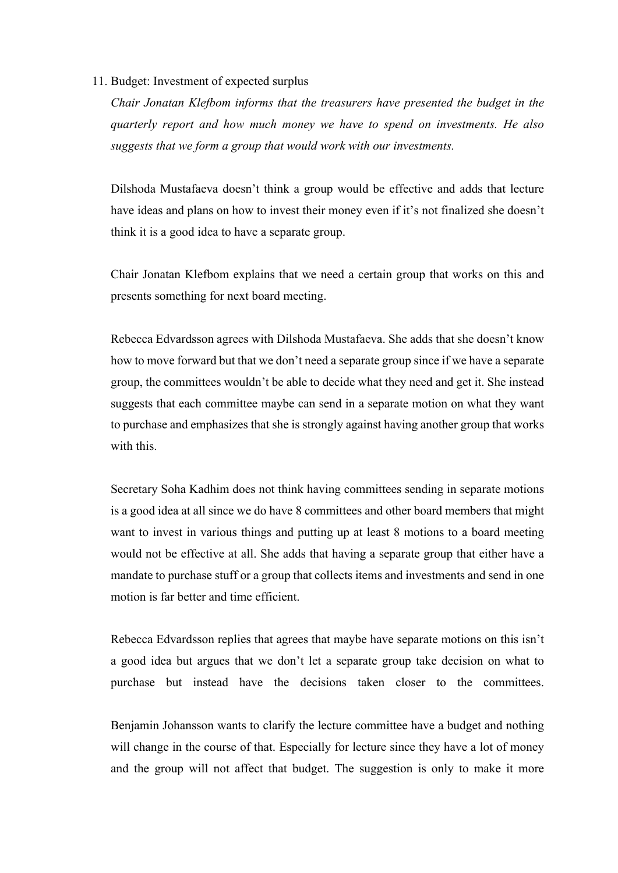#### 11. Budget: Investment of expected surplus

*Chair Jonatan Klefbom informs that the treasurers have presented the budget in the quarterly report and how much money we have to spend on investments. He also suggests that we form a group that would work with our investments.* 

Dilshoda Mustafaeva doesn't think a group would be effective and adds that lecture have ideas and plans on how to invest their money even if it's not finalized she doesn't think it is a good idea to have a separate group.

Chair Jonatan Klefbom explains that we need a certain group that works on this and presents something for next board meeting.

Rebecca Edvardsson agrees with Dilshoda Mustafaeva. She adds that she doesn't know how to move forward but that we don't need a separate group since if we have a separate group, the committees wouldn't be able to decide what they need and get it. She instead suggests that each committee maybe can send in a separate motion on what they want to purchase and emphasizes that she is strongly against having another group that works with this.

Secretary Soha Kadhim does not think having committees sending in separate motions is a good idea at all since we do have 8 committees and other board members that might want to invest in various things and putting up at least 8 motions to a board meeting would not be effective at all. She adds that having a separate group that either have a mandate to purchase stuff or a group that collects items and investments and send in one motion is far better and time efficient.

Rebecca Edvardsson replies that agrees that maybe have separate motions on this isn't a good idea but argues that we don't let a separate group take decision on what to purchase but instead have the decisions taken closer to the committees.

Benjamin Johansson wants to clarify the lecture committee have a budget and nothing will change in the course of that. Especially for lecture since they have a lot of money and the group will not affect that budget. The suggestion is only to make it more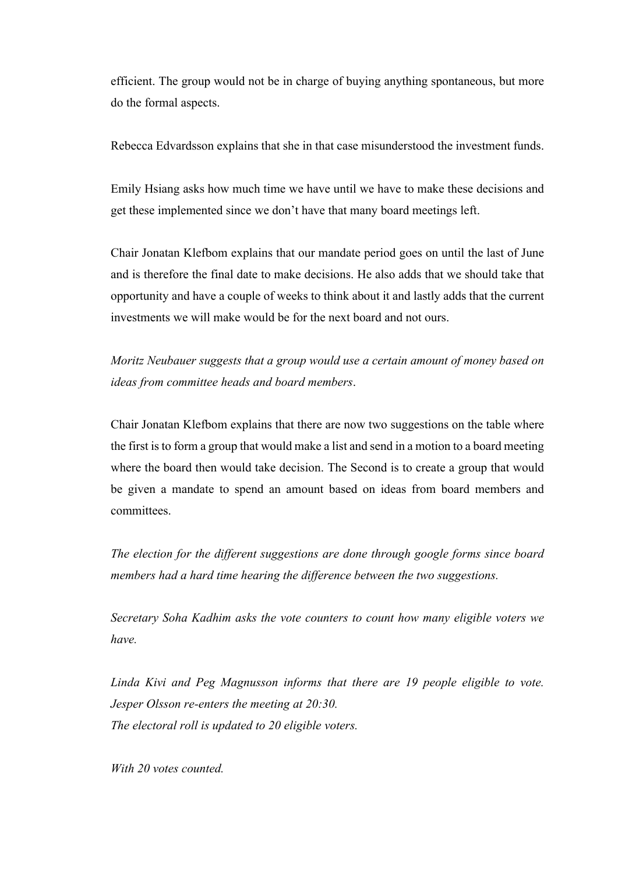efficient. The group would not be in charge of buying anything spontaneous, but more do the formal aspects.

Rebecca Edvardsson explains that she in that case misunderstood the investment funds.

Emily Hsiang asks how much time we have until we have to make these decisions and get these implemented since we don't have that many board meetings left.

Chair Jonatan Klefbom explains that our mandate period goes on until the last of June and is therefore the final date to make decisions. He also adds that we should take that opportunity and have a couple of weeks to think about it and lastly adds that the current investments we will make would be for the next board and not ours.

*Moritz Neubauer suggests that a group would use a certain amount of money based on ideas from committee heads and board members*.

Chair Jonatan Klefbom explains that there are now two suggestions on the table where the first is to form a group that would make a list and send in a motion to a board meeting where the board then would take decision. The Second is to create a group that would be given a mandate to spend an amount based on ideas from board members and committees.

*The election for the different suggestions are done through google forms since board members had a hard time hearing the difference between the two suggestions.* 

*Secretary Soha Kadhim asks the vote counters to count how many eligible voters we have.* 

*Linda Kivi and Peg Magnusson informs that there are 19 people eligible to vote. Jesper Olsson re-enters the meeting at 20:30. The electoral roll is updated to 20 eligible voters.* 

*With 20 votes counted.*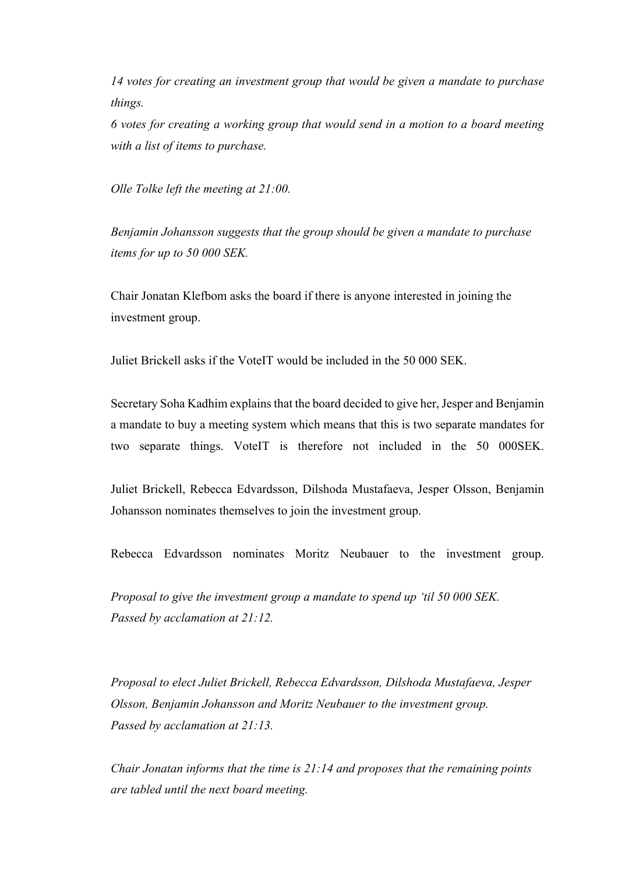*14 votes for creating an investment group that would be given a mandate to purchase things.* 

*6 votes for creating a working group that would send in a motion to a board meeting with a list of items to purchase.*

*Olle Tolke left the meeting at 21:00.*

*Benjamin Johansson suggests that the group should be given a mandate to purchase items for up to 50 000 SEK.*

Chair Jonatan Klefbom asks the board if there is anyone interested in joining the investment group.

Juliet Brickell asks if the VoteIT would be included in the 50 000 SEK.

Secretary Soha Kadhim explainsthat the board decided to give her, Jesper and Benjamin a mandate to buy a meeting system which means that this is two separate mandates for two separate things. VoteIT is therefore not included in the 50 000SEK.

Juliet Brickell, Rebecca Edvardsson, Dilshoda Mustafaeva, Jesper Olsson, Benjamin Johansson nominates themselves to join the investment group.

Rebecca Edvardsson nominates Moritz Neubauer to the investment group.

*Proposal to give the investment group a mandate to spend up 'til 50 000 SEK. Passed by acclamation at 21:12.*

*Proposal to elect Juliet Brickell, Rebecca Edvardsson, Dilshoda Mustafaeva, Jesper Olsson, Benjamin Johansson and Moritz Neubauer to the investment group. Passed by acclamation at 21:13.*

*Chair Jonatan informs that the time is 21:14 and proposes that the remaining points are tabled until the next board meeting.*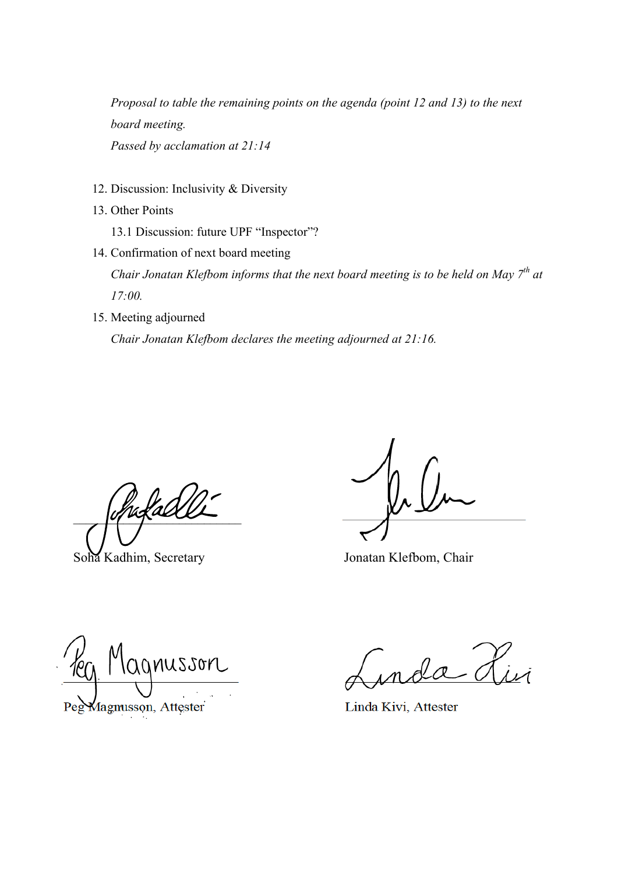*Proposal to table the remaining points on the agenda (point 12 and 13) to the next board meeting. Passed by acclamation at 21:14*

- 12. Discussion: Inclusivity & Diversity
- 13. Other Points

13.1 Discussion: future UPF "Inspector"?

- 14. Confirmation of next board meeting *Chair Jonatan Klefbom informs that the next board meeting is to be held on May 7th at 17:00.*
- 15. Meeting adjourned *Chair Jonatan Klefbom declares the meeting adjourned at 21:16.*

ufals

Soha Kadhim, Secretary Jonatan Klefbom, Chair

lagnusson Magnusson, Attester

Linda Kivi, Attester